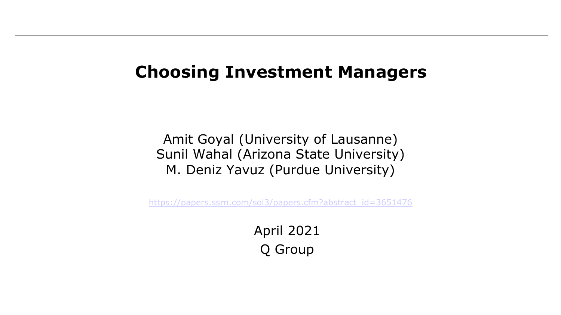#### **Choosing Investment Managers**

Amit Goyal (University of Lausanne) Sunil Wahal (Arizona State University) M. Deniz Yavuz (Purdue University)

[https://papers.ssrn.com/sol3/papers.cfm?abstract\\_id=3651476](https://papers.ssrn.com/sol3/papers.cfm?abstract_id=3651476)

April 2021 Q Group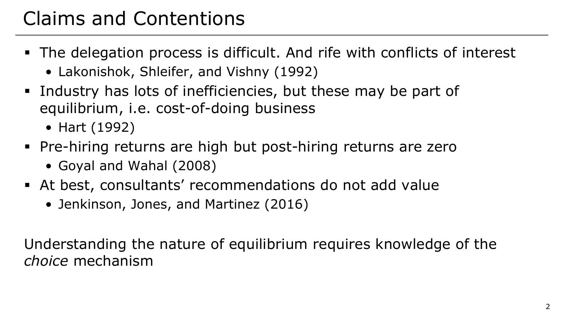# Claims and Contentions

- The delegation process is difficult. And rife with conflicts of interest
	- Lakonishok, Shleifer, and Vishny (1992)
- § Industry has lots of inefficiencies, but these may be part of equilibrium, i.e. cost-of-doing business
	- Hart (1992)
- § Pre-hiring returns are high but post-hiring returns are zero
	- Goyal and Wahal (2008)
- § At best, consultants' recommendations do not add value
	- Jenkinson, Jones, and Martinez (2016)

Understanding the nature of equilibrium requires knowledge of the *choice* mechanism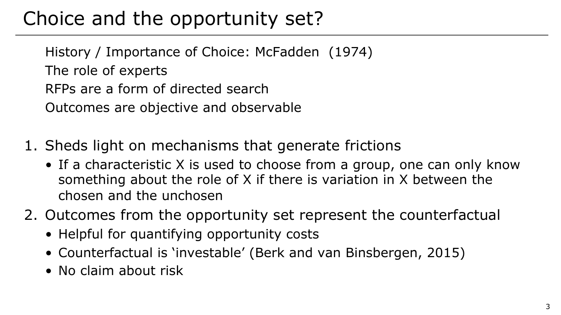# Choice and the opportunity set?

History / Importance of Choice: McFadden (1974) The role of experts RFPs are a form of directed search Outcomes are objective and observable

- 1. Sheds light on mechanisms that generate frictions
	- If a characteristic X is used to choose from a group, one can only know something about the role of X if there is variation in X between the chosen and the unchosen
- 2. Outcomes from the opportunity set represent the counterfactual
	- Helpful for quantifying opportunity costs
	- Counterfactual is 'investable' (Berk and van Binsbergen, 2015)
	- No claim about risk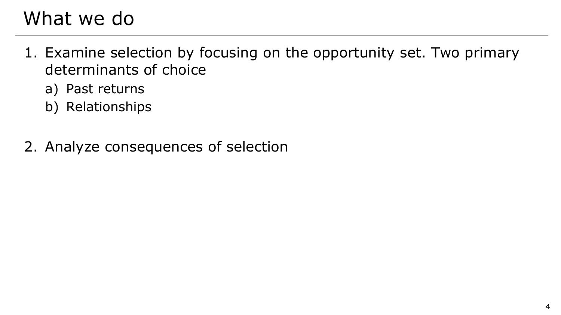## What we do

- 1. Examine selection by focusing on the opportunity set. Two primary determinants of choice
	- a) Past returns
	- b) Relationships
- 2. Analyze consequences of selection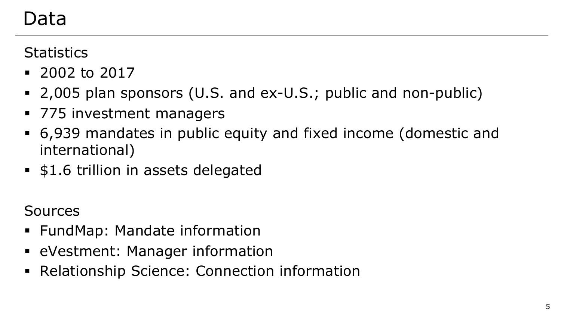#### Data

**Statistics** 

- $\blacksquare$  2002 to 2017
- 2,005 plan sponsors (U.S. and ex-U.S.; public and non-public)
- § 775 investment managers
- § 6,939 mandates in public equity and fixed income (domestic and international)
- § \$1.6 trillion in assets delegated

Sources

- § FundMap: Mandate information
- **eVestment: Manager information**
- Relationship Science: Connection information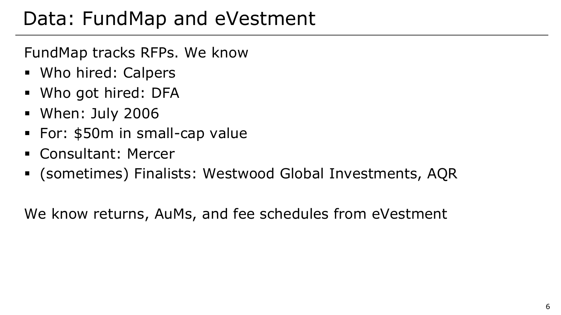## Data: FundMap and eVestment

FundMap tracks RFPs. We know

- Who hired: Calpers
- § Who got hired: DFA
- § When: July 2006
- § For: \$50m in small-cap value
- § Consultant: Mercer
- § (sometimes) Finalists: Westwood Global Investments, AQR

We know returns, AuMs, and fee schedules from eVestment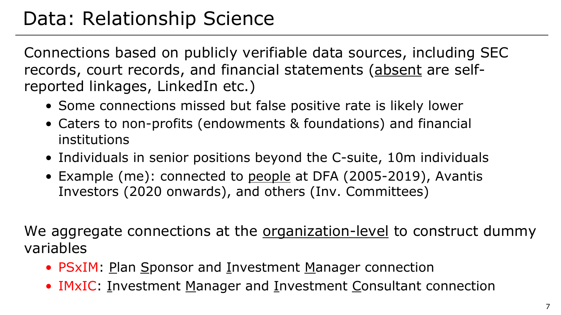## Data: Relationship Science

Connections based on publicly verifiable data sources, including SEC records, court records, and financial statements (absent are selfreported linkages, LinkedIn etc.)

- Some connections missed but false positive rate is likely lower
- Caters to non-profits (endowments & foundations) and financial institutions
- Individuals in senior positions beyond the C-suite, 10m individuals
- Example (me): connected to people at DFA (2005-2019), Avantis Investors (2020 onwards), and others (Inv. Committees)

We aggregate connections at the organization-level to construct dummy variables

- PSxIM: Plan Sponsor and Investment Manager connection
- IMxIC: Investment Manager and Investment Consultant connection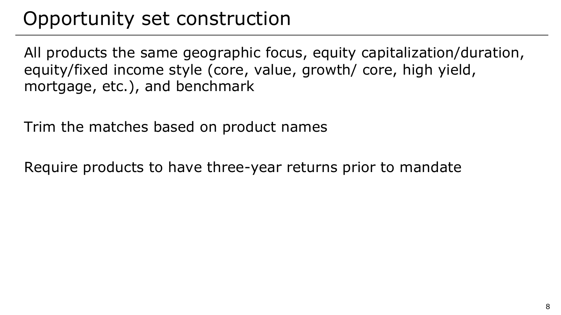# Opportunity set construction

All products the same geographic focus, equity capitalization/duration, equity/fixed income style (core, value, growth/ core, high yield, mortgage, etc.), and benchmark

Trim the matches based on product names

Require products to have three-year returns prior to mandate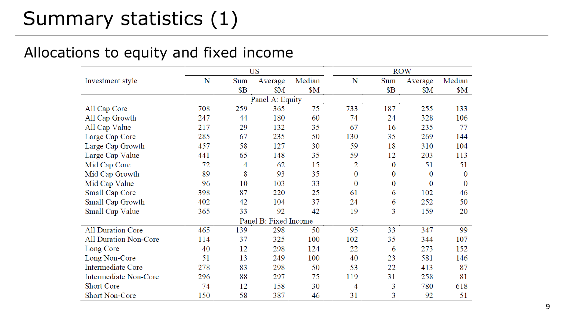#### Allocations to equity and fixed income

|                              |                 |            | US                    |        |                  | <b>ROW</b>       |                  |          |  |
|------------------------------|-----------------|------------|-----------------------|--------|------------------|------------------|------------------|----------|--|
| Investment style             | N               | Sum        | Average               | Median | N                | Sum              | Average          | Median   |  |
|                              |                 | <b>\$B</b> | \$M                   | \$M\$  |                  | <b>\$B</b>       | \$M              | \$M      |  |
|                              | Panel A: Equity |            |                       |        |                  |                  |                  |          |  |
| All Cap Core                 | 708             | 259        | 365                   | 75     | 733              | 187              | 255              | 133      |  |
| All Cap Growth               | 247             | 44         | 180                   | 60     | 74               | 24               | 328              | 106      |  |
| All Cap Value                | 217             | 29         | 132                   | 35     | 67               | 16               | 235              | 77       |  |
| Large Cap Core               | 285             | 67         | 235                   | 50     | 130              | 35               | 269              | 144      |  |
| Large Cap Growth             | 457             | 58         | 127                   | 30     | 59               | 18               | 310              | 104      |  |
| Large Cap Value              | 441             | 65         | 148                   | 35     | 59               | 12               | 203              | 113      |  |
| Mid Cap Core                 | 72              | 4          | 62                    | 15     | 2                | $\bf{0}$         | 51               | 51       |  |
| Mid Cap Growth               | 89              | 8          | 93                    | 35     | $\boldsymbol{0}$ | 0                | $\boldsymbol{0}$ | $\bf{0}$ |  |
| Mid Cap Value                | 96              | 10         | 103                   | 33     | $\boldsymbol{0}$ | $\boldsymbol{0}$ | $\bf{0}$         | $\bf{0}$ |  |
| Small Cap Core               | 398             | 87         | 220                   | 25     | 61               | 6                | 102              | 46       |  |
| Small Cap Growth             | 402             | 42         | 104                   | 37     | 24               | 6                | 252              | 50       |  |
| Small Cap Value              | 365             | 33         | 92                    | 42     | 19               | 3                | 159              | 20       |  |
|                              |                 |            | Panel B: Fixed Income |        |                  |                  |                  |          |  |
| <b>All Duration Core</b>     | 465             | 139        | 298                   | 50     | 95               | 33               | 347              | 99       |  |
| <b>All Duration Non-Core</b> | 114             | 37         | 325                   | 100    | 102              | 35               | 344              | 107      |  |
| Long Core                    | 40              | 12         | 298                   | 124    | 22               | 6                | 273              | 152      |  |
| Long Non-Core                | 51              | 13         | 249                   | 100    | 40               | 23               | 581              | 146      |  |
| <b>Intermediate Core</b>     | 278             | 83         | 298                   | 50     | 53               | 22               | 413              | 87       |  |
| <b>Intermediate Non-Core</b> | 296             | 88         | 297                   | 75     | 119              | 31               | 258              | 81       |  |
| <b>Short Core</b>            | 74              | 12         | 158                   | 30     | 4                | 3                | 780              | 618      |  |
| <b>Short Non-Core</b>        | 150             | 58         | 387                   | 46     | 31               | 3                | 92               | 51       |  |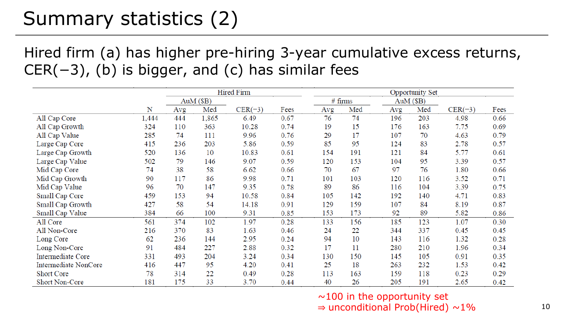# Summary statistics (2)

Hired firm (a) has higher pre-hiring 3-year cumulative excess returns,  $CER(-3)$ , (b) is bigger, and (c) has similar fees

|                      |       | <b>Hired Firm</b> |           |           |      | <b>Opportunity Set</b> |         |     |           |           |      |
|----------------------|-------|-------------------|-----------|-----------|------|------------------------|---------|-----|-----------|-----------|------|
|                      |       |                   | AuM (\$B) |           |      |                        | # firms |     | AuM (\$B) |           |      |
|                      | N     | Avg               | Med       | $CER(-3)$ | Fees | Avg                    | Med     | Avg | Med       | $CER(-3)$ | Fees |
| All Cap Core         | 1,444 | 444               | 1,865     | 6.49      | 0.67 | 76                     | 74      | 196 | 203       | 4.98      | 0.66 |
| All Cap Growth       | 324   | 110               | 363       | 10.28     | 0.74 | 19                     | 15      | 176 | 163       | 7.75      | 0.69 |
| All Cap Value        | 285   | 74                | 111       | 9.96      | 0.76 | 29                     | 17      | 107 | 70        | 4.63      | 0.79 |
| Large Cap Core       | 415   | 236               | 203       | 5.86      | 0.59 | 85                     | 95      | 124 | 83        | 2.78      | 0.57 |
| Large Cap Growth     | 520   | 136               | 10        | 10.83     | 0.61 | 154                    | 191     | 121 | 84        | 5.77      | 0.61 |
| Large Cap Value      | 502   | 79                | 146       | 9.07      | 0.59 | 120                    | 153     | 104 | 95        | 3.39      | 0.57 |
| Mid Cap Core         | 74    | 38                | 58        | 6.62      | 0.66 | 70                     | 67      | 97  | 76        | 1.80      | 0.66 |
| Mid Cap Growth       | 90    | 117               | 86        | 9.98      | 0.71 | 101                    | 103     | 120 | 116       | 3.52      | 0.71 |
| Mid Cap Value        | 96    | 70                | 147       | 9.35      | 0.78 | 89                     | 86      | 116 | 104       | 3.39      | 0.75 |
| Small Cap Core       | 459   | 153               | 94        | 10.58     | 0.84 | 105                    | 142     | 192 | 140       | 4.71      | 0.83 |
| Small Cap Growth     | 427   | 58                | 54        | 14.18     | 0.91 | 129                    | 159     | 107 | 84        | 8.19      | 0.87 |
| Small Cap Value      | 384   | 66                | 100       | 9.31      | 0.85 | 153                    | 173     | 92  | 89        | 5.82      | 0.86 |
| All Core             | 561   | 374               | 102       | 1.97      | 0.28 | 133                    | 156     | 185 | 123       | 1.07      | 0.30 |
| All Non-Core         | 216   | 370               | 83        | 1.63      | 0.46 | 24                     | 22      | 344 | 337       | 0.45      | 0.45 |
| Long Core            | 62    | 236               | 144       | 2.95      | 0.24 | 94                     | 10      | 143 | 116       | 1.32      | 0.28 |
| Long Non-Core        | 91    | 484               | 227       | 2.88      | 0.32 | 17                     | 11      | 280 | 210       | 1.96      | 0.34 |
| Intermediate Core    | 331   | 493               | 204       | 3.24      | 0.34 | 130                    | 150     | 145 | 105       | 0.91      | 0.35 |
| Intermediate NonCore | 416   | 447               | 95        | 4.20      | 0.41 | 25                     | 18      | 263 | 232       | 1.53      | 0.42 |
| <b>Short Core</b>    | 78    | 314               | 22        | 0.49      | 0.28 | 113                    | 163     | 159 | 118       | 0.23      | 0.29 |
| Short Non-Core       | 181   | 175               | 33        | 3.70      | 0.44 | 40                     | 26      | 205 | 191       | 2.65      | 0.42 |

 $\sim$ 100 in the opportunity set

 $\Rightarrow$  unconditional Prob(Hired) ~1%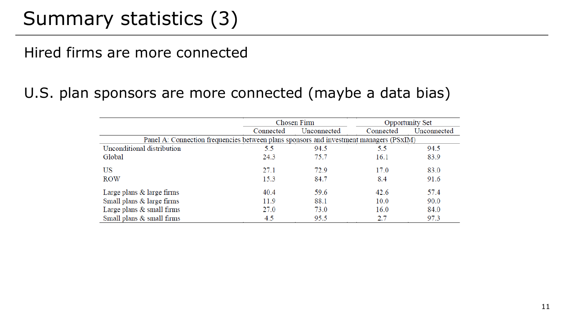## Summary statistics (3)

#### Hired firms are more connected

#### U.S. plan sponsors are more connected (maybe a data bias)

|                                                                                        |           | Chosen Firm |           | <b>Opportunity Set</b> |  |  |  |  |
|----------------------------------------------------------------------------------------|-----------|-------------|-----------|------------------------|--|--|--|--|
|                                                                                        | Connected | Unconnected | Connected | Unconnected            |  |  |  |  |
| Panel A: Connection frequencies between plans sponsors and investment managers (PSxIM) |           |             |           |                        |  |  |  |  |
| Unconditional distribution                                                             | 5.5       | 94.5        | 5.5       | 94.5                   |  |  |  |  |
| Global                                                                                 | 24.3      | 75.7        | 16.1      | 83.9                   |  |  |  |  |
| US                                                                                     | 27.1      | 72.9        | 17.0      | 83.0                   |  |  |  |  |
| <b>ROW</b>                                                                             | 15.3      | 84.7        | 8.4       | 91.6                   |  |  |  |  |
| Large plans $&$ large firms                                                            | 40.4      | 59.6        | 42.6      | 57.4                   |  |  |  |  |
| Small plans & large firms                                                              | 11.9      | 88.1        | 10.0      | 90.0                   |  |  |  |  |
| Large plans & small firms                                                              | 27.0      | 73.0        | 16.0      | 84.0                   |  |  |  |  |
| Small plans & small firms                                                              | 4.5       | 95.5        | 2.7       | 97.3                   |  |  |  |  |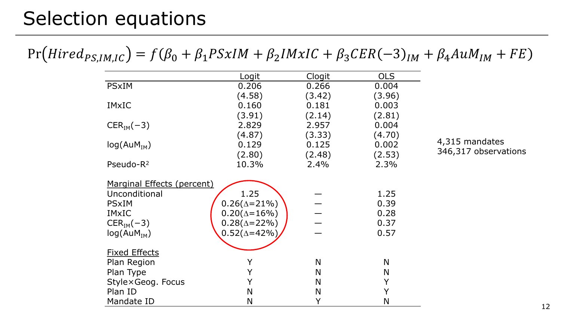#### Selection equations

#### $Pr(Hired_{PS,IM,IC}) = f(\beta_0 + \beta_1 PSxIM + \beta_2 IMxIC + \beta_3CER(-3)<sub>IM</sub> + \beta_4 A uM<sub>IM</sub> + FE)$

|                            | Logit                 | Clogit | <b>OLS</b>   |                      |
|----------------------------|-----------------------|--------|--------------|----------------------|
| <b>PSxIM</b>               | 0.206                 | 0.266  | 0.004        |                      |
|                            | (4.58)                | (3.42) | (3.96)       |                      |
| <b>IMxIC</b>               | 0.160                 | 0.181  | 0.003        |                      |
|                            | (3.91)                | (2.14) | (2.81)       |                      |
| $CERIM(-3)$                | 2.829                 | 2.957  | 0.004        |                      |
|                            | (4.87)                | (3.33) | (4.70)       |                      |
| log(AuM <sub>IM</sub> )    | 0.129                 | 0.125  | 0.002        | 4,315 mandates       |
|                            | (2.80)                | (2.48) | (2.53)       | 346,317 observations |
| Pseudo-R <sup>2</sup>      | 10.3%                 | 2.4%   | 2.3%         |                      |
| Marginal Effects (percent) |                       |        |              |                      |
| Unconditional              | 1.25                  |        | 1.25         |                      |
| <b>PSxIM</b>               | $0.26(\Delta = 21\%)$ |        | 0.39         |                      |
| <b>IMxIC</b>               | $0.20(\Delta = 16\%)$ |        | 0.28         |                      |
| $CERIM(-3)$                | $0.28(\Delta = 22\%)$ |        | 0.37         |                      |
| log(AuM <sub>IM</sub> )    | $0.52(\Delta = 42\%)$ |        | 0.57         |                      |
| <b>Fixed Effects</b>       |                       |        |              |                      |
| Plan Region                | Y                     | N      | N            |                      |
| Plan Type                  | Y                     | N      | N            |                      |
| Style×Geog. Focus          |                       | N      | Y            |                      |
| Plan ID                    | N                     | N      | Y            |                      |
| Mandate ID                 | N                     | Y      | $\mathsf{N}$ |                      |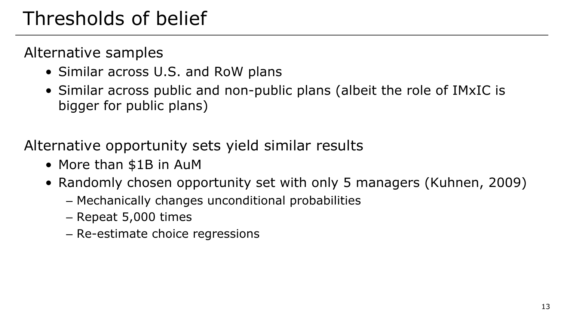# Thresholds of belief

Alternative samples

- Similar across U.S. and RoW plans
- Similar across public and non-public plans (albeit the role of IMxIC is bigger for public plans)

Alternative opportunity sets yield similar results

- More than \$1B in AuM
- Randomly chosen opportunity set with only 5 managers (Kuhnen, 2009)
	- Mechanically changes unconditional probabilities
	- Repeat 5,000 times
	- Re-estimate choice regressions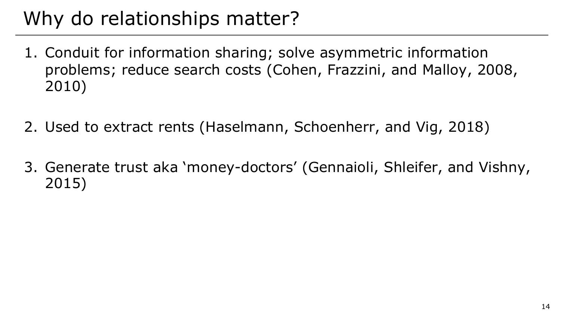# Why do relationships matter?

- 1. Conduit for information sharing; solve asymmetric information problems; reduce search costs (Cohen, Frazzini, and Malloy, 2008, 2010)
- 2. Used to extract rents (Haselmann, Schoenherr, and Vig, 2018)
- 3. Generate trust aka 'money-doctors' (Gennaioli, Shleifer, and Vishny, 2015)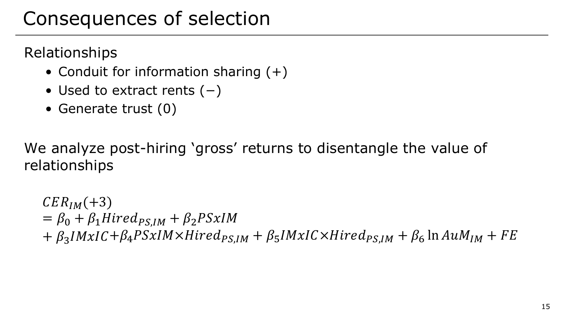### Consequences of selection

Relationships

- Conduit for information sharing  $(+)$
- Used to extract rents (−)
- Generate trust (0)

We analyze post-hiring 'gross' returns to disentangle the value of relationships

 $CER_{IM}(+3)$  $= \beta_0 + \beta_1 Hired_{PSIM} + \beta_2 PSxIM$  $+ \beta_3 I M x I C + \beta_4 PSx I M \times Hired_{PS, IM} + \beta_5 I M x I C \times Hired_{PS, IM} + \beta_6 \ln A u M_{IM} + FE$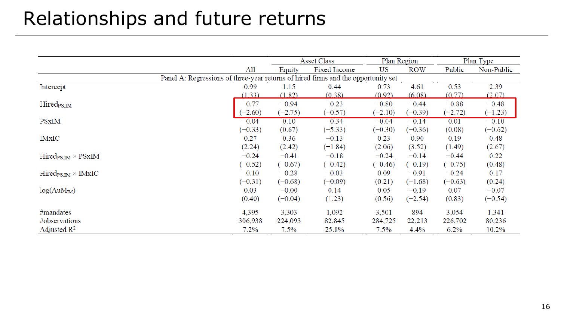# Relationships and future returns

|                                                                                   |           | <b>Asset Class</b> |              | Plan Region |           | Plan Type |            |
|-----------------------------------------------------------------------------------|-----------|--------------------|--------------|-------------|-----------|-----------|------------|
|                                                                                   | All       | Equity             | Fixed Income | US          | ROW       | Public    | Non-Public |
| Panel A: Regressions of three-year returns of hired firms and the opportunity set |           |                    |              |             |           |           |            |
| Intercept                                                                         | 0.99      | 1.15               | 0.44         | 0.73        | 4.61      | 0.53      | 2.39       |
|                                                                                   | (1.33)    | (1.82)             | (0.38)       | (0.92)      | (6.08)    | (0.77)    | (2.07)     |
| $Hired_{PS,IM}$                                                                   | $-0.77$   | $-0.94$            | $-0.23$      | $-0.80$     | $-0.44$   | $-0.88$   | $-0.48$    |
|                                                                                   | $(-2.60)$ | $(-2.75)$          | $(-0.57)$    | $(-2.10)$   | $(-0.39)$ | $(-2.72)$ | $(-1.23)$  |
| <b>PSxIM</b>                                                                      | $-0.04$   | 0.10               | $-0.34$      | $-0.04$     | $-0.14$   | 0.01      | $-0.10$    |
|                                                                                   | $(-0.33)$ | (0.67)             | $(-5.33)$    | $(-0.30)$   | $(-0.36)$ | (0.08)    | $(-0.62)$  |
| IMxIC                                                                             | 0.27      | 0.36               | $-0.13$      | 0.23        | 0.90      | 0.19      | 0.48       |
|                                                                                   | (2.24)    | (2.42)             | $(-1.84)$    | (2.06)      | (3.52)    | (1.49)    | (2.67)     |
| $Hired_{PS,IM} \times PSxIM$                                                      | $-0.24$   | $-0.41$            | $-0.18$      | $-0.24$     | $-0.14$   | $-0.44$   | 0.22       |
|                                                                                   | $(-0.52)$ | $(-0.67)$          | $(-0.42)$    | $(-0.46)$   | $(-0.19)$ | $(-0.75)$ | (0.48)     |
| $\text{Hired}_{\text{PS,IM}} \times \text{IMxIC}$                                 | $-0.10$   | $-0.28$            | $-0.03$      | 0.09        | $-0.91$   | $-0.24$   | 0.17       |
|                                                                                   | $(-0.31)$ | $(-0.68)$          | $(-0.09)$    | (0.21)      | $(-1.68)$ | $(-0.63)$ | (0.24)     |
| $log(AuM_{IM})$                                                                   | 0.03      | $-0.00$            | 0.14         | 0.05        | $-0.19$   | 0.07      | $-0.07$    |
|                                                                                   | (0.40)    | $(-0.04)$          | (1.23)       | (0.56)      | $(-2.54)$ | (0.83)    | $(-0.54)$  |
| $#$ mandates                                                                      | 4,395     | 3,303              | 1,092        | 3,501       | 894       | 3,054     | 1,341      |
| #observations                                                                     | 306,938   | 224,093            | 82,845       | 284,725     | 22,213    | 226,702   | 80,236     |
| Adjusted $\mathbb{R}^2$                                                           | $7.2\%$   | $7.5\%$            | 25.8%        | $7.5\%$     | 4.4%      | $6.2\%$   | $10.2\%$   |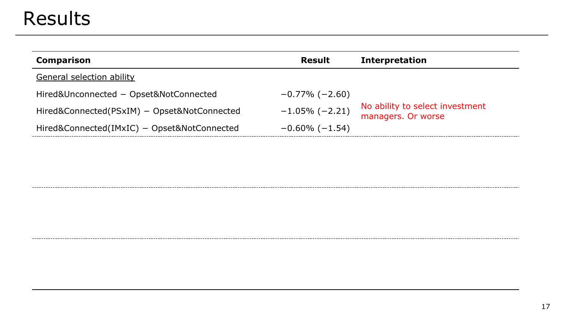#### Results

| <b>Comparison</b>                           | <b>Result</b>         | <b>Interpretation</b>                                 |
|---------------------------------------------|-----------------------|-------------------------------------------------------|
| General selection ability                   |                       |                                                       |
| Hired&Unconnected - Opset&NotConnected      | $-0.77\%$ (-2.60)     |                                                       |
| Hired&Connected(PSxIM) - Opset&NotConnected | $-1.05\%$ (-2.21)     | No ability to select investment<br>managers. Or worse |
| Hired&Connected(IMxIC) - Opset&NotConnected | $-0.60\%$ ( $-1.54$ ) |                                                       |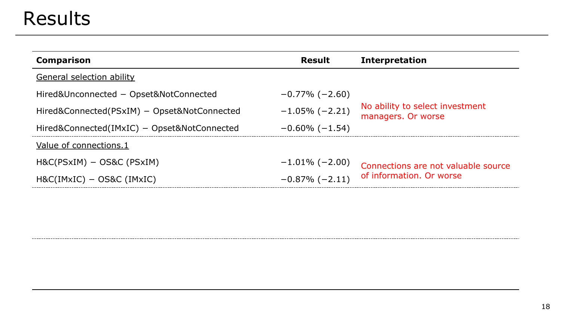## Results

------------------

| <b>Comparison</b>                           | <b>Result</b>         | <b>Interpretation</b>                                 |
|---------------------------------------------|-----------------------|-------------------------------------------------------|
| <b>General selection ability</b>            |                       |                                                       |
| Hired&Unconnected - Opset&NotConnected      | $-0.77\%$ (-2.60)     |                                                       |
| Hired&Connected(PSxIM) - Opset&NotConnected | $-1.05\%$ (-2.21)     | No ability to select investment<br>managers. Or worse |
| Hired&Connected(IMxIC) - Opset&NotConnected | $-0.60\%$ ( $-1.54$ ) |                                                       |
| Value of connections.1                      |                       |                                                       |
| $H&C(PSxIM) - OS&C(PSxIM)$                  | $-1.01\%$ (-2.00)     | Connections are not valuable source                   |
| $H&C(IMxIC) - OS&C(IMxIC)$                  | $-0.87\%$ (-2.11)     | of information. Or worse                              |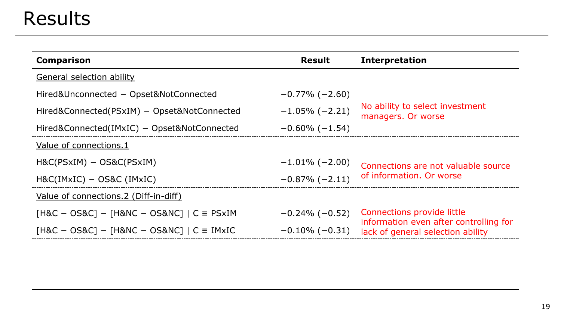## Results

------------------

| <b>Comparison</b>                                | <b>Result</b>         | <b>Interpretation</b>                                                       |
|--------------------------------------------------|-----------------------|-----------------------------------------------------------------------------|
| <b>General selection ability</b>                 |                       |                                                                             |
| Hired&Unconnected - Opset&NotConnected           | $-0.77\%$ (-2.60)     |                                                                             |
| Hired&Connected(PSxIM) - Opset&NotConnected      | $-1.05\%$ (-2.21)     | No ability to select investment<br>managers. Or worse                       |
| Hired&Connected(IMxIC) - Opset&NotConnected      | $-0.60\%$ ( $-1.54$ ) |                                                                             |
| Value of connections.1                           |                       |                                                                             |
| $H&C(PSxIM) - OS&C(PSxIM)$                       | $-1.01\%$ (-2.00)     | Connections are not valuable source                                         |
| $H&C(IMxIC) - OS&C(IMxIC)$                       | $-0.87\%$ (-2.11)     | of information. Or worse                                                    |
| Value of connections.2 (Diff-in-diff)            |                       |                                                                             |
| $[H&C - OS&C] - [H&NC - OS&NC]   C \equiv PSxIM$ | $-0.24\%$ ( $-0.52$ ) | Connections provide little                                                  |
| $[H&C - OS&C] - [H&NC - OS&NC]   C \equiv IMxIC$ | $-0.10\%$ (-0.31)     | information even after controlling for<br>lack of general selection ability |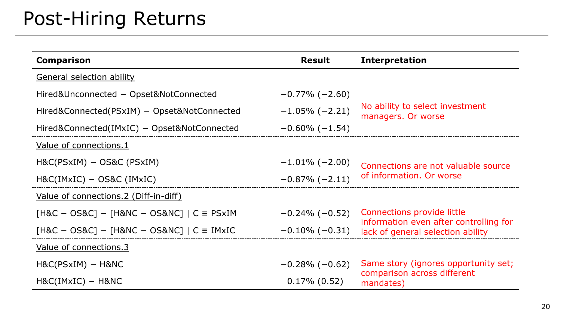# Post-Hiring Returns

| <b>Comparison</b>                                                | <b>Result</b>         | <b>Interpretation</b>                                                       |
|------------------------------------------------------------------|-----------------------|-----------------------------------------------------------------------------|
| <b>General selection ability</b>                                 |                       |                                                                             |
| Hired&Unconnected - Opset&NotConnected                           | $-0.77\%$ (-2.60)     |                                                                             |
| $-1.05\%$ (-2.21)<br>Hired&Connected(PSxIM) - Opset&NotConnected |                       | No ability to select investment<br>managers. Or worse                       |
| Hired&Connected(IMxIC) – Opset&NotConnected                      | $-0.60\%$ ( $-1.54$ ) |                                                                             |
| Value of connections.1                                           |                       |                                                                             |
| $H&C(PSxIM) - OS&C(PSxIM)$                                       | $-1.01\%$ (-2.00)     | Connections are not valuable source                                         |
| $H&C(IMxIC) - OS&C(IMxIC)$                                       | $-0.87\%$ (-2.11)     | of information. Or worse                                                    |
| Value of connections.2 (Diff-in-diff)                            |                       |                                                                             |
| $[H&C - OS&C] - [H&NC - OS&NC]   C \equiv PSxIM$                 | $-0.24\%$ ( $-0.52$ ) | Connections provide little                                                  |
| $[H&C - OS&C] - [H&NC - OS&NC]   C \equiv IMxIC$                 | $-0.10\%$ (-0.31)     | information even after controlling for<br>lack of general selection ability |
| Value of connections.3                                           |                       |                                                                             |
| $H&C(PSxIM) - H&NC$                                              | $-0.28\%$ ( $-0.62$ ) | Same story (ignores opportunity set;                                        |
| $H&C(IMxIC) - H&NC$                                              | $0.17\%$ (0.52)       | comparison across different<br>mandates)                                    |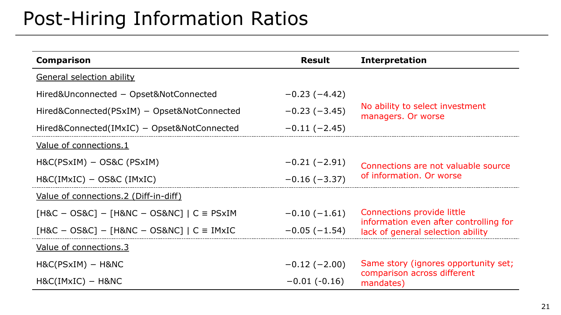### Post-Hiring Information Ratios

| <b>Comparison</b>                                | <b>Result</b>  | <b>Interpretation</b>                                                       |  |  |
|--------------------------------------------------|----------------|-----------------------------------------------------------------------------|--|--|
| <b>General selection ability</b>                 |                |                                                                             |  |  |
| Hired&Unconnected - Opset&NotConnected           | $-0.23(-4.42)$ |                                                                             |  |  |
| Hired&Connected(PSxIM) - Opset&NotConnected      | $-0.23(-3.45)$ | No ability to select investment<br>managers. Or worse                       |  |  |
| Hired&Connected(IMxIC) – Opset&NotConnected      | $-0.11(-2.45)$ |                                                                             |  |  |
| Value of connections.1                           |                |                                                                             |  |  |
| $H&C(PSxIM) - OS&C(PSxIM)$                       | $-0.21(-2.91)$ | Connections are not valuable source                                         |  |  |
| $H&C(IMxIC) - OS&C(IMxIC)$                       | $-0.16(-3.37)$ | of information. Or worse                                                    |  |  |
| Value of connections.2 (Diff-in-diff)            |                |                                                                             |  |  |
| $[H&C - OS&C] - [H&NC - OS&NC]   C \equiv PSxIM$ | $-0.10(-1.61)$ | Connections provide little                                                  |  |  |
| $[H&C - OS&C] - [H&NC - OS&NC]   C \equiv IMxIC$ | $-0.05(-1.54)$ | information even after controlling for<br>lack of general selection ability |  |  |
| Value of connections.3                           |                |                                                                             |  |  |
| $H&C(PSxIM) - H&NC$                              | $-0.12(-2.00)$ | Same story (ignores opportunity set;                                        |  |  |
| $H&C(IMxIC) - H&NC$                              | $-0.01(-0.16)$ | comparison across different<br>mandates)                                    |  |  |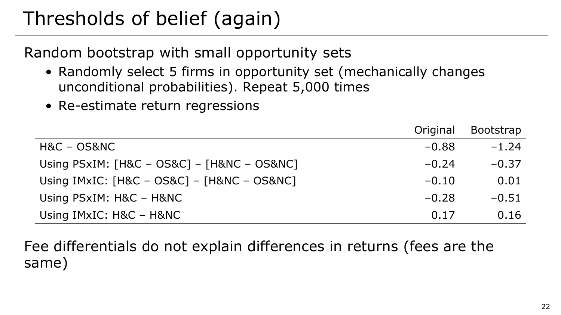# Thresholds of belief (again)

Random bootstrap with small opportunity sets

- Randomly select 5 firms in opportunity set (mechanically changes unconditional probabilities). Repeat 5,000 times
- Re-estimate return regressions

|                                                 | Original | <b>Bootstrap</b> |
|-------------------------------------------------|----------|------------------|
| H&C - OS&NC                                     | $-0.88$  | $-1.24$          |
| Using $PSxIM$ : $[H&C - OS&C] - [H&NC - OS&NC]$ | $-0.24$  | $-0.37$          |
| Using $IMxIC: [H&C - OS&C] - [H&NC - OS&NC]$    | $-0.10$  | 0.01             |
| Using PSxIM: H&C - H&NC                         | $-0.28$  | $-0.51$          |
| Using IMxIC: H&C - H&NC                         | 0.17     | 0.16             |

Fee differentials do not explain differences in returns (fees are the same)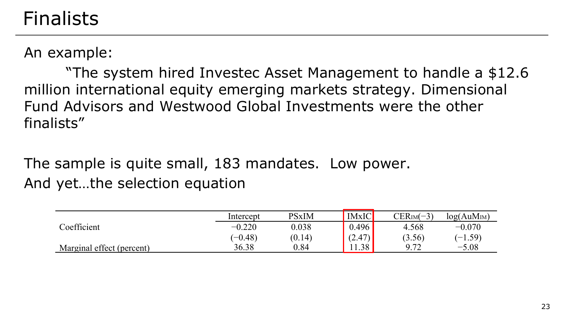#### Finalists

An example:

"The system hired Investec Asset Management to handle a \$12.6 million international equity emerging markets strategy. Dimensional Fund Advisors and Westwood Global Investments were the other finalists"

The sample is quite small, 183 mandates. Low power. And yet…the selection equation

|                           | Intercept | <b>PSxIM</b> | <b>IMxIC</b> | $CERIM(-3)$                  | log(AuM <sub>IM</sub> ) |
|---------------------------|-----------|--------------|--------------|------------------------------|-------------------------|
| Coefficient               | $-0.220$  | 0.038        | 0.496        | 4.568                        | $-0.070$                |
|                           | $(-0.48)$ | (0.14)       | (2.47)       | (3.56)                       | $(-1.59)$               |
| Marginal effect (percent) | 36.38     | 0.84         | 1.38         | 072<br><b>J</b> ⋅ <i>I</i> ∠ | $-5.08$                 |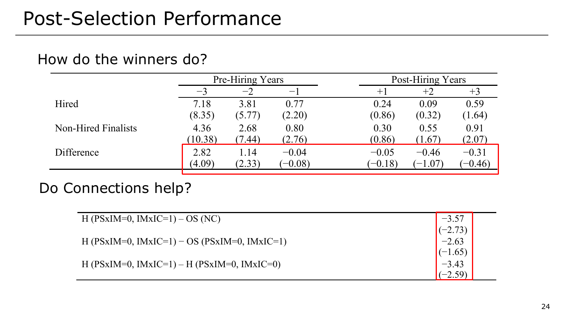#### How do the winners do?

|                            | Pre-Hiring Years |        |                                | Post-Hiring Years |           |           |           |
|----------------------------|------------------|--------|--------------------------------|-------------------|-----------|-----------|-----------|
|                            | $-3$             | $-2$   | $\qquad \qquad \longleftarrow$ |                   | $+1$      | $+2$      | $+3$      |
| Hired                      | 7.18             | 3.81   | 0.77                           |                   | 0.24      | 0.09      | 0.59      |
|                            | (8.35)           | (5.77) | (2.20)                         |                   | (0.86)    | (0.32)    | (1.64)    |
| <b>Non-Hired Finalists</b> | 4.36             | 2.68   | 0.80                           |                   | 0.30      | 0.55      | 0.91      |
|                            | (10.38)          | (7.44) | (2.76)                         |                   | (0.86)    | (1.67)    | (2.07)    |
| Difference                 | 2.82             | 1.14   | $-0.04$                        |                   | $-0.05$   | $-0.46$   | $-0.31$   |
|                            | (4.09)           | (2.33) | $(-0.08)$                      |                   | $(-0.18)$ | $(-1.07)$ | $(-0.46)$ |

#### Do Connections help?

| H (PSxIM=0, IMxIC=1) – OS (NC)               | $-3.57$   |
|----------------------------------------------|-----------|
|                                              | $(-2.73)$ |
| H (PSxIM=0, IMxIC=1) – OS (PSxIM=0, IMxIC=1) | $-2.63$   |
|                                              | $(-1.65)$ |
| H (PSxIM=0, IMxIC=1) – H (PSxIM=0, IMxIC=0)  | $-3.43$   |
|                                              | $(-2.59)$ |